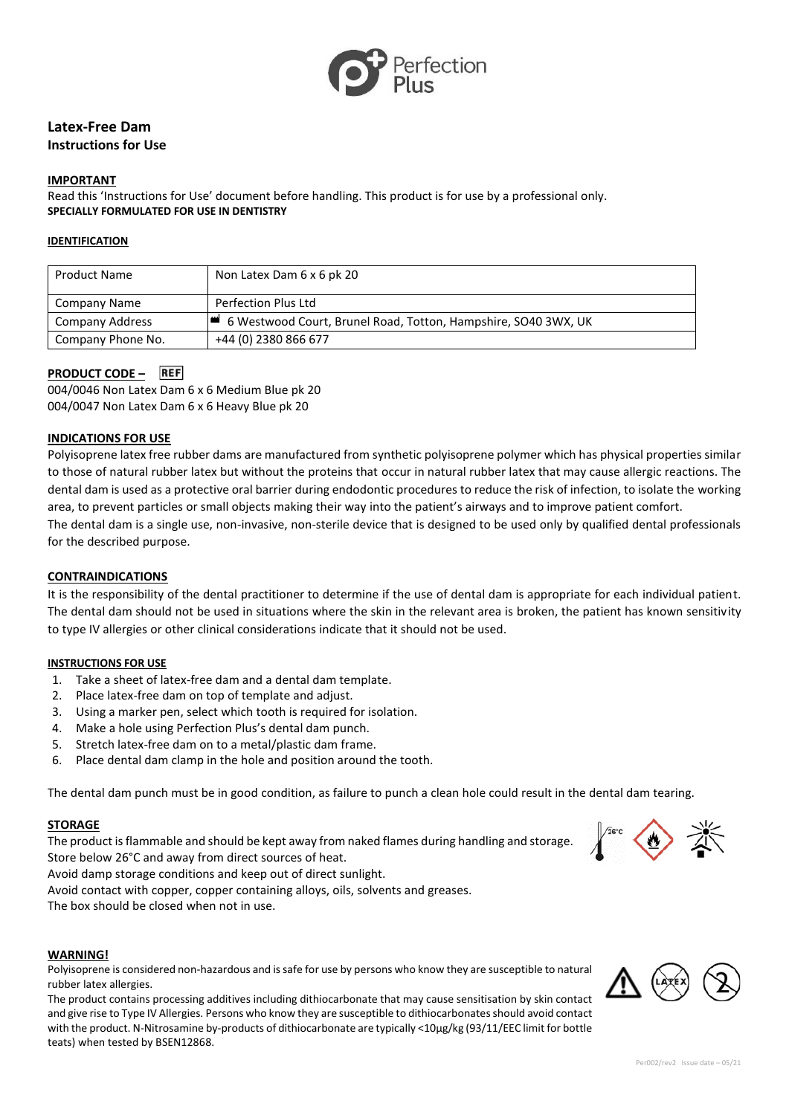

# **Latex-Free Dam Instructions for Use**

#### **IMPORTANT**

Read this 'Instructions for Use' document before handling. This product is for use by a professional only. **SPECIALLY FORMULATED FOR USE IN DENTISTRY**

#### **IDENTIFICATION**

| <b>Product Name</b> | Non Latex Dam 6 x 6 pk 20                                      |
|---------------------|----------------------------------------------------------------|
| Company Name        | Perfection Plus Ltd                                            |
| Company Address     | 6 Westwood Court, Brunel Road, Totton, Hampshire, SO40 3WX, UK |
| Company Phone No.   | +44 (0) 2380 866 677                                           |

# **PRODUCT CODE –**

004/0046 Non Latex Dam 6 x 6 Medium Blue pk 20 004/0047 Non Latex Dam 6 x 6 Heavy Blue pk 20

### **INDICATIONS FOR USE**

Polyisoprene latex free rubber dams are manufactured from synthetic polyisoprene polymer which has physical properties similar to those of natural rubber latex but without the proteins that occur in natural rubber latex that may cause allergic reactions. The dental dam is used as a protective oral barrier during endodontic procedures to reduce the risk of infection, to isolate the working area, to prevent particles or small objects making their way into the patient's airways and to improve patient comfort. The dental dam is a single use, non-invasive, non-sterile device that is designed to be used only by qualified dental professionals

for the described purpose.

#### **CONTRAINDICATIONS**

It is the responsibility of the dental practitioner to determine if the use of dental dam is appropriate for each individual patient. The dental dam should not be used in situations where the skin in the relevant area is broken, the patient has known sensitivity to type IV allergies or other clinical considerations indicate that it should not be used.

#### **INSTRUCTIONS FOR USE**

- 1. Take a sheet of latex-free dam and a dental dam template.
- 2. Place latex-free dam on top of template and adjust.
- 3. Using a marker pen, select which tooth is required for isolation.
- 4. Make a hole using Perfection Plus's dental dam punch.
- 5. Stretch latex-free dam on to a metal/plastic dam frame.
- 6. Place dental dam clamp in the hole and position around the tooth.

The dental dam punch must be in good condition, as failure to punch a clean hole could result in the dental dam tearing.

#### **STORAGE**

The product is flammable and should be kept away from naked flames during handling and storage. Store below 26°C and away from direct sources of heat.

Avoid damp storage conditions and keep out of direct sunlight.

Avoid contact with copper, copper containing alloys, oils, solvents and greases.

The box should be closed when not in use.

# **WARNING!**

Polyisoprene is considered non-hazardous and is safe for use by persons who know they are susceptible to natural rubber latex allergies.

The product contains processing additives including dithiocarbonate that may cause sensitisation by skin contact and give rise to Type IV Allergies. Persons who know they are susceptible to dithiocarbonates should avoid contact with the product. N-Nitrosamine by-products of dithiocarbonate are typically <10μg/kg (93/11/EEC limit for bottle teats) when tested by BSEN12868.